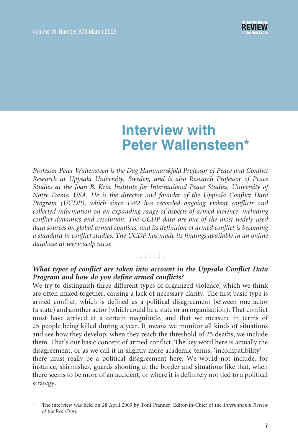

# Interview with Peter Wallensteen\*

Professor Peter Wallensteen is the Dag Hammarskjöld Professor of Peace and Conflict Research at Uppsala University, Sweden, and is also Research Professor of Peace Studies at the Joan B. Kroc Institute for International Peace Studies, University of Notre Dame, USA. He is the director and founder of the Uppsala Conflict Data Program (UCDP), which since 1982 has recorded ongoing violent conflicts and collected information on an expanding range of aspects of armed violence, including conflict dynamics and resolution. The UCDP data are one of the most widely-used data sources on global armed conflicts, and its definition of armed conflict is becoming a standard in conflict studies. The UCDP has made its findings available in an online database at www.ucdp.uu.se

#### : : : : : : :

#### What types of conflict are taken into account in the Uppsala Conflict Data Program and how do you define armed conflicts?

We try to distinguish three different types of organized violence, which we think are often mixed together, causing a lack of necessary clarity. The first basic type is armed conflict, which is defined as a political disagreement between one actor (a state) and another actor (which could be a state or an organization). That conflict must have arrived at a certain magnitude, and that we measure in terms of 25 people being killed during a year. It means we monitor all kinds of situations and see how they develop; when they reach the threshold of 25 deaths, we include them. That's our basic concept of armed conflict. The key word here is actually the disagreement, or as we call it in slightly more academic terms, 'incompatibility' – there must really be a political disagreement here. We would not include, for instance, skirmishes, guards shooting at the border and situations like that, when there seems to be more of an accident, or where it is definitely not tied to a political strategy.

The interview was held on 28 April 2009 by Toni Pfanner, Editor-in-Chief of the International Review of the Red Cross.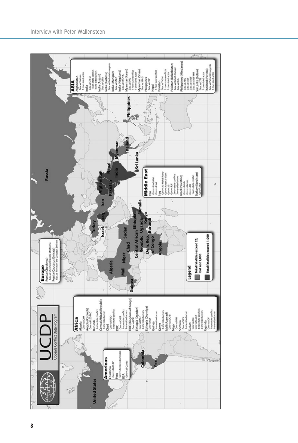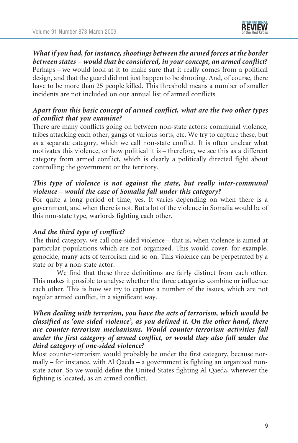What if you had, for instance, shootings between the armed forces at the border between states – would that be considered, in your concept, an armed conflict? Perhaps – we would look at it to make sure that it really comes from a political design, and that the guard did not just happen to be shooting. And, of course, there have to be more than 25 people killed. This threshold means a number of smaller incidents are not included on our annual list of armed conflicts.

# Apart from this basic concept of armed conflict, what are the two other types of conflict that you examine?

There are many conflicts going on between non-state actors: communal violence, tribes attacking each other, gangs of various sorts, etc. We try to capture these, but as a separate category, which we call non-state conflict. It is often unclear what motivates this violence, or how political it is – therefore, we see this as a different category from armed conflict, which is clearly a politically directed fight about controlling the government or the territory.

# This type of violence is not against the state, but really inter-communal violence – would the case of Somalia fall under this category?

For quite a long period of time, yes. It varies depending on when there is a government, and when there is not. But a lot of the violence in Somalia would be of this non-state type, warlords fighting each other.

# And the third type of conflict?

The third category, we call one-sided violence – that is, when violence is aimed at particular populations which are not organized. This would cover, for example, genocide, many acts of terrorism and so on. This violence can be perpetrated by a state or by a non-state actor.

We find that these three definitions are fairly distinct from each other. This makes it possible to analyse whether the three categories combine or influence each other. This is how we try to capture a number of the issues, which are not regular armed conflict, in a significant way.

# When dealing with terrorism, you have the acts of terrorism, which would be classified as 'one-sided violence', as you defined it. On the other hand, there are counter-terrorism mechanisms. Would counter-terrorism activities fall under the first category of armed conflict, or would they also fall under the third category of one-sided violence?

Most counter-terrorism would probably be under the first category, because normally – for instance, with Al Qaeda – a government is fighting an organized nonstate actor. So we would define the United States fighting Al Qaeda, wherever the fighting is located, as an armed conflict.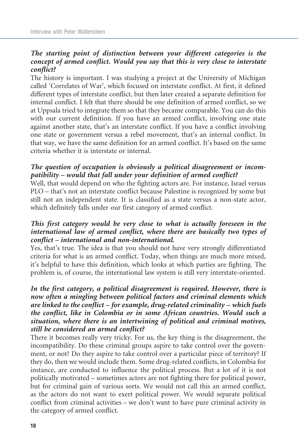# The starting point of distinction between your different categories is the concept of armed conflict. Would you say that this is very close to interstate conflict?

The history is important. I was studying a project at the University of Michigan called 'Correlates of War', which focused on interstate conflict. At first, it defined different types of interstate conflict, but then later created a separate definition for internal conflict. I felt that there should be one definition of armed conflict, so we at Uppsala tried to integrate them so that they became comparable. You can do this with our current definition. If you have an armed conflict, involving one state against another state, that's an interstate conflict. If you have a conflict involving one state or government versus a rebel movement, that's an internal conflict. In that way, we have the same definition for an armed conflict. It's based on the same criteria whether it is interstate or internal.

# The question of occupation is obviously a political disagreement or incompatibility – would that fall under your definition of armed conflict?

Well, that would depend on who the fighting actors are. For instance, Israel versus PLO – that's not an interstate conflict because Palestine is recognized by some but still not an independent state. It is classified as a state versus a non-state actor, which definitely falls under our first category of armed conflict.

# This first category would be very close to what is actually foreseen in the international law of armed conflict, where there are basically two types of conflict – international and non-international.

Yes, that's true. The idea is that you should not have very strongly differentiated criteria for what is an armed conflict. Today, when things are much more mixed, it's helpful to have this definition, which looks at which parties are fighting. The problem is, of course, the international law system is still very interstate-oriented.

# In the first category, a political disagreement is required. However, there is now often a mingling between political factors and criminal elements which are linked to the conflict – for example, drug-related criminality – which fuels the conflict, like in Colombia or in some African countries. Would such a situation, where there is an intertwining of political and criminal motives, still be considered an armed conflict?

There it becomes really very tricky. For us, the key thing is the disagreement, the incompatibility. Do these criminal groups aspire to take control over the government, or not? Do they aspire to take control over a particular piece of territory? If they do, then we would include them. Some drug-related conflicts, in Colombia for instance, are conducted to influence the political process. But a lot of it is not politically motivated – sometimes actors are not fighting there for political power, but for criminal gain of various sorts. We would not call this an armed conflict, as the actors do not want to exert political power. We would separate political conflict from criminal activities – we don't want to have pure criminal activity in the category of armed conflict.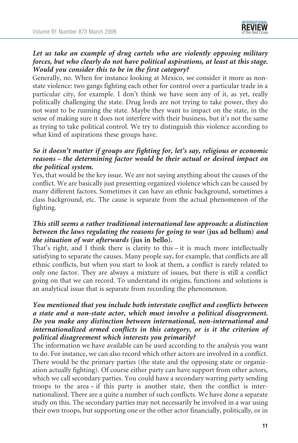

#### Let us take an example of drug cartels who are violently opposing military forces, but who clearly do not have political aspirations, at least at this stage. Would you consider this to be in the first category?

Generally, no. When for instance looking at Mexico, we consider it more as nonstate violence: two gangs fighting each other for control over a particular trade in a particular city, for example. I don't think we have seen any of it, as yet, really politically challenging the state. Drug lords are not trying to take power, they do not want to be running the state. Maybe they want to impact on the state, in the sense of making sure it does not interfere with their business, but it's not the same as trying to take political control. We try to distinguish this violence according to what kind of aspirations these groups have.

## So it doesn't matter if groups are fighting for, let's say, religious or economic reasons – the determining factor would be their actual or desired impact on the political system.

Yes, that would be the key issue. We are not saying anything about the causes of the conflict. We are basically just presenting organized violence which can be caused by many different factors. Sometimes it can have an ethnic background, sometimes a class background, etc. The cause is separate from the actual phenomenon of the fighting.

# This still seems a rather traditional international law approach: a distinction between the laws regulating the reasons for going to war (jus ad bellum) and the situation of war afterwards (jus in bello).

That's right, and I think there is clarity to this – it is much more intellectually satisfying to separate the causes. Many people say, for example, that conflicts are all ethnic conflicts, but when you start to look at them, a conflict is rarely related to only one factor. They are always a mixture of issues, but there is still a conflict going on that we can record. To understand its origins, functions and solutions is an analytical issue that is separate from recording the phenomenon.

# You mentioned that you include both interstate conflict and conflicts between a state and a non-state actor, which must involve a political disagreement. Do you make any distinction between international, non-international and internationalized armed conflicts in this category, or is it the criterion of political disagreement which interests you primarily?

The information we have available can be used according to the analysis you want to do. For instance, we can also record which other actors are involved in a conflict. There would be the primary parties (the state and the opposing state or organization actually fighting). Of course either party can have support from other actors, which we call secondary parties. You could have a secondary warring party sending troops to the area – if this party is another state, then the conflict is internationalized. There are a quite a number of such conflicts. We have done a separate study on this. The secondary parties may not necessarily be involved in a war using their own troops, but supporting one or the other actor financially, politically, or in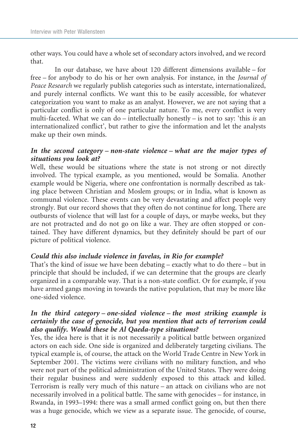other ways. You could have a whole set of secondary actors involved, and we record that.

In our database, we have about 120 different dimensions available – for free – for anybody to do his or her own analysis. For instance, in the Journal of Peace Research we regularly publish categories such as interstate, internationalized, and purely internal conflicts. We want this to be easily accessible, for whatever categorization you want to make as an analyst. However, we are not saying that a particular conflict is only of one particular nature. To me, every conflict is very multi-faceted. What we can do – intellectually honestly – is not to say: 'this is an internationalized conflict', but rather to give the information and let the analysts make up their own minds.

#### In the second category – non-state violence – what are the major types of situations you look at?

Well, these would be situations where the state is not strong or not directly involved. The typical example, as you mentioned, would be Somalia. Another example would be Nigeria, where one confrontation is normally described as taking place between Christian and Moslem groups; or in India, what is known as communal violence. These events can be very devastating and affect people very strongly. But our record shows that they often do not continue for long. There are outbursts of violence that will last for a couple of days, or maybe weeks, but they are not protracted and do not go on like a war. They are often stopped or contained. They have different dynamics, but they definitely should be part of our picture of political violence.

#### Could this also include violence in favelas, in Rio for example?

That's the kind of issue we have been debating – exactly what to do there – but in principle that should be included, if we can determine that the groups are clearly organized in a comparable way. That is a non-state conflict. Or for example, if you have armed gangs moving in towards the native population, that may be more like one-sided violence.

## In the third category – one-sided violence – the most striking example is certainly the case of genocide, but you mention that acts of terrorism could also qualify. Would these be Al Qaeda-type situations?

Yes, the idea here is that it is not necessarily a political battle between organized actors on each side. One side is organized and deliberately targeting civilians. The typical example is, of course, the attack on the World Trade Centre in New York in September 2001. The victims were civilians with no military function, and who were not part of the political administration of the United States. They were doing their regular business and were suddenly exposed to this attack and killed. Terrorism is really very much of this nature – an attack on civilians who are not necessarily involved in a political battle. The same with genocides – for instance, in Rwanda, in 1993–1994: there was a small armed conflict going on, but then there was a huge genocide, which we view as a separate issue. The genocide, of course,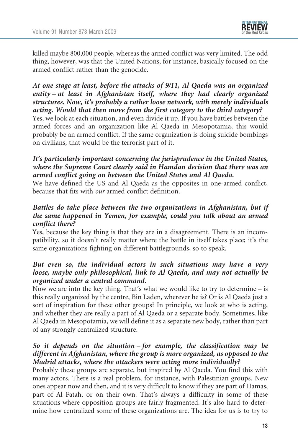killed maybe 800,000 people, whereas the armed conflict was very limited. The odd thing, however, was that the United Nations, for instance, basically focused on the armed conflict rather than the genocide.

At one stage at least, before the attacks of 9/11, Al Qaeda was an organized entity – at least in Afghanistan itself, where they had clearly organized structures. Now, it's probably a rather loose network, with merely individuals acting. Would that then move from the first category to the third category?

Yes, we look at each situation, and even divide it up. If you have battles between the armed forces and an organization like Al Qaeda in Mesopotamia, this would probably be an armed conflict. If the same organization is doing suicide bombings on civilians, that would be the terrorist part of it.

# It's particularly important concerning the jurisprudence in the United States, where the Supreme Court clearly said in Hamdan decision that there was an armed conflict going on between the United States and Al Qaeda.

We have defined the US and Al Qaeda as the opposites in one-armed conflict, because that fits with our armed conflict definition.

# Battles do take place between the two organizations in Afghanistan, but if the same happened in Yemen, for example, could you talk about an armed conflict there?

Yes, because the key thing is that they are in a disagreement. There is an incompatibility, so it doesn't really matter where the battle in itself takes place; it's the same organizations fighting on different battlegrounds, so to speak.

# But even so, the individual actors in such situations may have a very loose, maybe only philosophical, link to Al Qaeda, and may not actually be organized under a central command.

Now we are into the key thing. That's what we would like to try to determine – is this really organized by the centre, Bin Laden, wherever he is? Or is Al Qaeda just a sort of inspiration for these other groups? In principle, we look at who is acting, and whether they are really a part of Al Qaeda or a separate body. Sometimes, like Al Qaeda in Mesopotamia, we will define it as a separate new body, rather than part of any strongly centralized structure.

# So it depends on the situation – for example, the classification may be different in Afghanistan, where the group is more organized, as opposed to the Madrid attacks, where the attackers were acting more individually?

Probably these groups are separate, but inspired by Al Qaeda. You find this with many actors. There is a real problem, for instance, with Palestinian groups. New ones appear now and then, and it is very difficult to know if they are part of Hamas, part of Al Fatah, or on their own. That's always a difficulty in some of these situations where opposition groups are fairly fragmented. It's also hard to determine how centralized some of these organizations are. The idea for us is to try to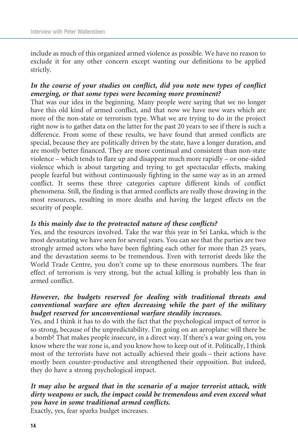include as much of this organized armed violence as possible. We have no reason to exclude it for any other concern except wanting our definitions to be applied strictly.

# In the course of your studies on conflict, did you note new types of conflict emerging, or that some types were becoming more prominent?

That was our idea in the beginning. Many people were saying that we no longer have this old kind of armed conflict, and that now we have new wars which are more of the non-state or terrorism type. What we are trying to do in the project right now is to gather data on the latter for the past 20 years to see if there is such a difference. From some of these results, we have found that armed conflicts are special, because they are politically driven by the state, have a longer duration, and are mostly better financed. They are more continual and consistent than non-state violence – which tends to flare up and disappear much more rapidly – or one-sided violence which is about targeting and trying to get spectacular effects, making people fearful but without continuously fighting in the same way as in an armed conflict. It seems these three categories capture different kinds of conflict phenomena. Still, the finding is that armed conflicts are really those drawing in the most resources, resulting in more deaths and having the largest effects on the security of people.

#### Is this mainly due to the protracted nature of these conflicts?

Yes, and the resources involved. Take the war this year in Sri Lanka, which is the most devastating we have seen for several years. You can see that the parties are two strongly armed actors who have been fighting each other for more than 25 years, and the devastation seems to be tremendous. Even with terrorist deeds like the World Trade Centre, you don't come up to these enormous numbers. The fear effect of terrorism is very strong, but the actual killing is probably less than in armed conflict.

# However, the budgets reserved for dealing with traditional threats and conventional warfare are often decreasing while the part of the military budget reserved for unconventional warfare steadily increases.

Yes, and I think it has to do with the fact that the psychological impact of terror is so strong, because of the unpredictability. I'm going on an aeroplane: will there be a bomb? That makes people insecure, in a direct way. If there's a war going on, you know where the war zone is, and you know how to keep out of it. Politically, I think most of the terrorists have not actually achieved their goals – their actions have mostly been counter-productive and strengthened their opposition. But indeed, they do have a strong psychological impact.

# It may also be argued that in the scenario of a major terrorist attack, with dirty weapons or such, the impact could be tremendous and even exceed what you have in some traditional armed conflicts.

Exactly, yes, fear sparks budget increases.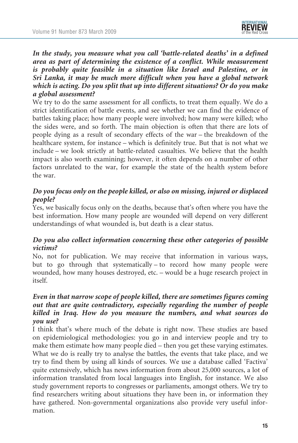In the study, you measure what you call 'battle-related deaths' in a defined area as part of determining the existence of a conflict. While measurement is probably quite feasible in a situation like Israel and Palestine, or in Sri Lanka, it may be much more difficult when you have a global network which is acting. Do you split that up into different situations? Or do you make a global assessment?

We try to do the same assessment for all conflicts, to treat them equally. We do a strict identification of battle events, and see whether we can find the evidence of battles taking place; how many people were involved; how many were killed; who the sides were, and so forth. The main objection is often that there are lots of people dying as a result of secondary effects of the war – the breakdown of the healthcare system, for instance – which is definitely true. But that is not what we include – we look strictly at battle-related casualties. We believe that the health impact is also worth examining; however, it often depends on a number of other factors unrelated to the war, for example the state of the health system before the war.

# Do you focus only on the people killed, or also on missing, injured or displaced people?

Yes, we basically focus only on the deaths, because that's often where you have the best information. How many people are wounded will depend on very different understandings of what wounded is, but death is a clear status.

# Do you also collect information concerning these other categories of possible victims?

No, not for publication. We may receive that information in various ways, but to go through that systematically – to record how many people were wounded, how many houses destroyed, etc. – would be a huge research project in itself.

# Even in that narrow scope of people killed, there are sometimes figures coming out that are quite contradictory, especially regarding the number of people killed in Iraq. How do you measure the numbers, and what sources do you use?

I think that's where much of the debate is right now. These studies are based on epidemiological methodologies: you go in and interview people and try to make them estimate how many people died – then you get these varying estimates. What we do is really try to analyse the battles, the events that take place, and we try to find them by using all kinds of sources. We use a database called 'Factiva' quite extensively, which has news information from about 25,000 sources, a lot of information translated from local languages into English, for instance. We also study government reports to congresses or parliaments, amongst others. We try to find researchers writing about situations they have been in, or information they have gathered. Non-governmental organizations also provide very useful information.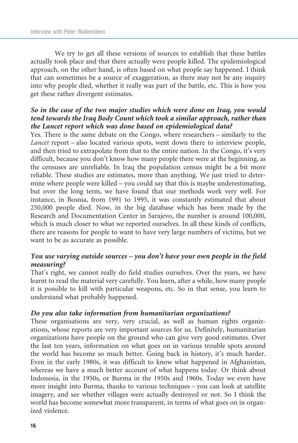We try to get all these versions of sources to establish that these battles actually took place and that there actually were people killed. The epidemiological approach, on the other hand, is often based on what people say happened. I think that can sometimes be a source of exaggeration, as there may not be any inquiry into why people died, whether it really was part of the battle, etc. This is how you get these rather divergent estimates.

## So in the case of the two major studies which were done on Iraq, you would tend towards the Iraq Body Count which took a similar approach, rather than the Lancet report which was done based on epidemiological data?

Yes. There is the same debate on the Congo, where researchers – similarly to the Lancet report – also located various spots, went down there to interview people, and then tried to extrapolate from that to the entire nation. In the Congo, it's very difficult, because you don't know how many people there were at the beginning, as the censuses are unreliable. In Iraq the population census might be a bit more reliable. These studies are estimates, more than anything. We just tried to determine where people were killed – you could say that this is maybe underestimating, but over the long term, we have found that our methods work very well. For instance, in Bosnia, from 1991 to 1995, it was constantly estimated that about 250,000 people died. Now, in the big database which has been made by the Research and Documentation Center in Sarajevo, the number is around 100,000, which is much closer to what we reported ourselves. In all these kinds of conflicts, there are reasons for people to want to have very large numbers of victims, but we want to be as accurate as possible.

# You use varying outside sources – you don't have your own people in the field measuring?

That's right, we cannot really do field studies ourselves. Over the years, we have learnt to read the material very carefully. You learn, after a while, how many people it is possible to kill with particular weapons, etc. So in that sense, you learn to understand what probably happened.

#### Do you also take information from humanitarian organizations?

These organisations are very, very crucial, as well as human rights organizations, whose reports are very important sources for us. Definitely, humanitarian organizations have people on the ground who can give very good estimates. Over the last ten years, information on what goes on in various trouble spots around the world has become so much better. Going back in history, it's much harder. Even in the early 1980s, it was difficult to know what happened in Afghanistan, whereas we have a much better account of what happens today. Or think about Indonesia, in the 1950s, or Burma in the 1950s and 1960s. Today we even have more insight into Burma, thanks to various techniques – you can look at satellite imagery, and see whether villages were actually destroyed or not. So I think the world has become somewhat more transparent, in terms of what goes on in organized violence.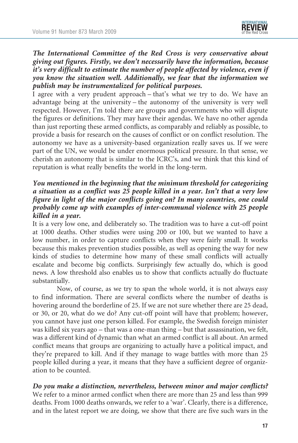The International Committee of the Red Cross is very conservative about giving out figures. Firstly, we don't necessarily have the information, because it's very difficult to estimate the number of people affected by violence, even if you know the situation well. Additionally, we fear that the information we publish may be instrumentalized for political purposes.

I agree with a very prudent approach – that's what we try to do. We have an advantage being at the university – the autonomy of the university is very well respected. However, I'm told there are groups and governments who will dispute the figures or definitions. They may have their agendas. We have no other agenda than just reporting these armed conflicts, as comparably and reliably as possible, to provide a basis for research on the causes of conflict or on conflict resolution. The autonomy we have as a university-based organization really saves us. If we were part of the UN, we would be under enormous political pressure. In that sense, we cherish an autonomy that is similar to the ICRC's, and we think that this kind of reputation is what really benefits the world in the long-term.

# You mentioned in the beginning that the minimum threshold for categorizing a situation as a conflict was 25 people killed in a year. Isn't that a very low figure in light of the major conflicts going on? In many countries, one could probably come up with examples of inter-communal violence with 25 people killed in a year.

It is a very low one, and deliberately so. The tradition was to have a cut-off point at 1000 deaths. Other studies were using 200 or 100, but we wanted to have a low number, in order to capture conflicts when they were fairly small. It works because this makes prevention studies possible, as well as opening the way for new kinds of studies to determine how many of these small conflicts will actually escalate and become big conflicts. Surprisingly few actually do, which is good news. A low threshold also enables us to show that conflicts actually do fluctuate substantially.

Now, of course, as we try to span the whole world, it is not always easy to find information. There are several conflicts where the number of deaths is hovering around the borderline of 25. If we are not sure whether there are 25 dead, or 30, or 20, what do we do? Any cut-off point will have that problem; however, you cannot have just one person killed. For example, the Swedish foreign minister was killed six years ago – that was a one-man thing – but that assassination, we felt, was a different kind of dynamic than what an armed conflict is all about. An armed conflict means that groups are organizing to actually have a political impact, and they're prepared to kill. And if they manage to wage battles with more than 25 people killed during a year, it means that they have a sufficient degree of organization to be counted.

#### Do you make a distinction, nevertheless, between minor and major conflicts?

We refer to a minor armed conflict when there are more than 25 and less than 999 deaths. From 1000 deaths onwards, we refer to a 'war'. Clearly, there is a difference, and in the latest report we are doing, we show that there are five such wars in the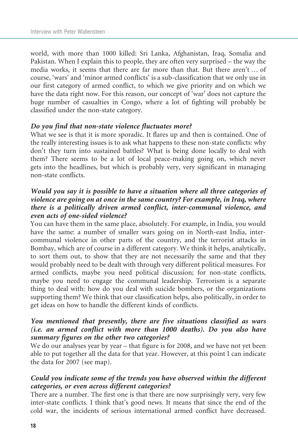world, with more than 1000 killed: Sri Lanka, Afghanistan, Iraq, Somalia and Pakistan. When I explain this to people, they are often very surprised – the way the media works, it seems that there are far more than that. But there aren't … of course, 'wars' and 'minor armed conflicts' is a sub-classification that we only use in our first category of armed conflict, to which we give priority and on which we have the data right now. For this reason, our concept of 'war' does not capture the huge number of casualties in Congo, where a lot of fighting will probably be classified under the non-state category.

#### Do you find that non-state violence fluctuates more?

What we see is that it is more sporadic. It flares up and then is contained. One of the really interesting issues is to ask what happens to these non-state conflicts: why don't they turn into sustained battles? What is being done locally to deal with them? There seems to be a lot of local peace-making going on, which never gets into the headlines, but which is probably very, very significant in managing non-state conflicts.

# Would you say it is possible to have a situation where all three categories of violence are going on at once in the same country? For example, in Iraq, where there is a politically driven armed conflict, inter-communal violence, and even acts of one-sided violence?

You can have them in the same place, absolutely. For example, in India, you would have the same: a number of smaller wars going on in North-east India, intercommunal violence in other parts of the country, and the terrorist attacks in Bombay, which are of course in a different category. We think it helps, analytically, to sort them out, to show that they are not necessarily the same and that they would probably need to be dealt with through very different political measures. For armed conflicts, maybe you need political discussion; for non-state conflicts, maybe you need to engage the communal leadership. Terrorism is a separate thing to deal with: how do you deal with suicide bombers, or the organizations supporting them? We think that our classification helps, also politically, in order to get ideas on how to handle the different kinds of conflicts.

# You mentioned that presently, there are five situations classified as wars (i.e. an armed conflict with more than 1000 deaths). Do you also have summary figures on the other two categories?

We do our analyses year by year – that figure is for 2008, and we have not yet been able to put together all the data for that year. However, at this point I can indicate the data for 2007 (see map).

# Could you indicate some of the trends you have observed within the different categories, or even across different categories?

There are a number. The first one is that there are now surprisingly very, very few inter-state conflicts. I think that's good news. It means that since the end of the cold war, the incidents of serious international armed conflict have decreased.